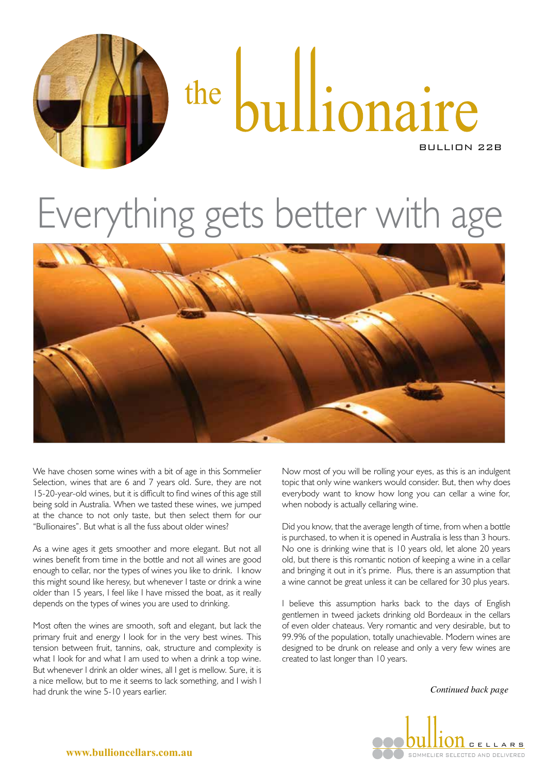

# the bullionaire BULLION 22B

## Everything gets better with age



We have chosen some wines with a bit of age in this Sommelier Selection, wines that are 6 and 7 years old. Sure, they are not 15-20-year-old wines, but it is difficult to find wines of this age still being sold in Australia. When we tasted these wines, we jumped at the chance to not only taste, but then select them for our "Bullionaires". But what is all the fuss about older wines?

As a wine ages it gets smoother and more elegant. But not all wines benefit from time in the bottle and not all wines are good enough to cellar, nor the types of wines you like to drink. I know this might sound like heresy, but whenever I taste or drink a wine older than 15 years, I feel like I have missed the boat, as it really depends on the types of wines you are used to drinking.

Most often the wines are smooth, soft and elegant, but lack the primary fruit and energy I look for in the very best wines. This tension between fruit, tannins, oak, structure and complexity is what I look for and what I am used to when a drink a top wine. But whenever I drink an older wines, all I get is mellow. Sure, it is a nice mellow, but to me it seems to lack something, and I wish I had drunk the wine 5-10 years earlier.

Now most of you will be rolling your eyes, as this is an indulgent topic that only wine wankers would consider. But, then why does everybody want to know how long you can cellar a wine for, when nobody is actually cellaring wine.

Did you know, that the average length of time, from when a bottle is purchased, to when it is opened in Australia is less than 3 hours. No one is drinking wine that is 10 years old, let alone 20 years old, but there is this romantic notion of keeping a wine in a cellar and bringing it out in it's prime. Plus, there is an assumption that a wine cannot be great unless it can be cellared for 30 plus years.

I believe this assumption harks back to the days of English gentlemen in tweed jackets drinking old Bordeaux in the cellars of even older chateaus. Very romantic and very desirable, but to 99.9% of the population, totally unachievable. Modern wines are designed to be drunk on release and only a very few wines are created to last longer than 10 years.

*Continued back page*



**www.bullioncellars.com.au**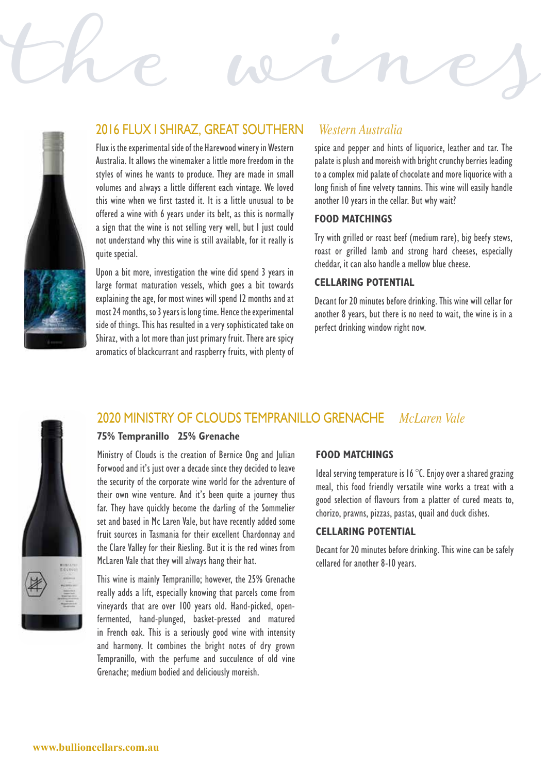

### 2016 FLUX I SHIRAZ, GREAT SOUTHERN *Western Australia*

Flux is the experimental side of the Harewood winery in Western Australia. It allows the winemaker a little more freedom in the styles of wines he wants to produce. They are made in small volumes and always a little different each vintage. We loved this wine when we first tasted it. It is a little unusual to be offered a wine with 6 years under its belt, as this is normally a sign that the wine is not selling very well, but I just could not understand why this wine is still available, for it really is quite special.

Upon a bit more, investigation the wine did spend 3 years in large format maturation vessels, which goes a bit towards explaining the age, for most wines will spend 12 months and at most 24 months, so 3 years is long time. Hence the experimental side of things. This has resulted in a very sophisticated take on Shiraz, with a lot more than just primary fruit. There are spicy aromatics of blackcurrant and raspberry fruits, with plenty of

spice and pepper and hints of liquorice, leather and tar. The palate is plush and moreish with bright crunchy berries leading to a complex mid palate of chocolate and more liquorice with a long finish of fine velvety tannins. This wine will easily handle another 10 years in the cellar. But why wait?

#### **FOOD MATCHINGS**

Try with grilled or roast beef (medium rare), big beefy stews, roast or grilled lamb and strong hard cheeses, especially cheddar, it can also handle a mellow blue cheese.

#### **CELLARING POTENTIAL**

Decant for 20 minutes before drinking. This wine will cellar for another 8 years, but there is no need to wait, the wine is in a perfect drinking window right now.



## 2020 MINISTRY OF CLOUDS TEMPRANILLO GRENACHE *McLaren Vale*

the wines

#### **75% Tempranillo 25% Grenache**

Ministry of Clouds is the creation of Bernice Ong and Julian Forwood and it's just over a decade since they decided to leave the security of the corporate wine world for the adventure of their own wine venture. And it's been quite a journey thus far. They have quickly become the darling of the Sommelier set and based in Mc Laren Vale, but have recently added some fruit sources in Tasmania for their excellent Chardonnay and the Clare Valley for their Riesling. But it is the red wines from McLaren Vale that they will always hang their hat.



This wine is mainly Tempranillo; however, the 25% Grenache really adds a lift, especially knowing that parcels come from vineyards that are over 100 years old. Hand-picked, openfermented, hand-plunged, basket-pressed and matured in French oak. This is a seriously good wine with intensity and harmony. It combines the bright notes of dry grown Tempranillo, with the perfume and succulence of old vine Grenache; medium bodied and deliciously moreish.

#### **FOOD MATCHINGS**

Ideal serving temperature is 16 °C. Enjoy over a shared grazing meal, this food friendly versatile wine works a treat with a good selection of flavours from a platter of cured meats to, chorizo, prawns, pizzas, pastas, quail and duck dishes.

#### **CELLARING POTENTIAL**

Decant for 20 minutes before drinking. This wine can be safely cellared for another 8-10 years.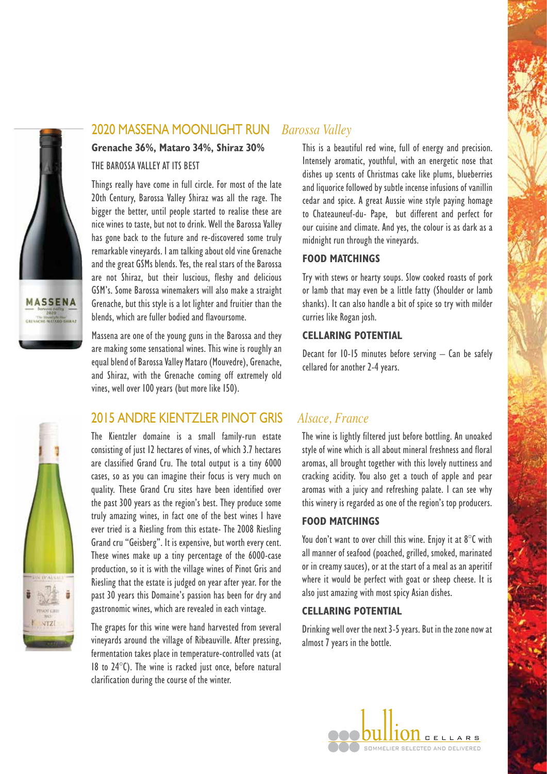

#### 2020 MASSENA MOONLIGHT RUN *Barossa Valley*

#### **Grenache 36%, Mataro 34%, Shiraz 30%**

#### THE BAROSSA VALLEY AT ITS BEST

Things really have come in full circle. For most of the late 20th Century, Barossa Valley Shiraz was all the rage. The bigger the better, until people started to realise these are nice wines to taste, but not to drink. Well the Barossa Valley has gone back to the future and re-discovered some truly remarkable vineyards. I am talking about old vine Grenache and the great GSMs blends. Yes, the real stars of the Barossa are not Shiraz, but their luscious, fleshy and delicious GSM's. Some Barossa winemakers will also make a straight Grenache, but this style is a lot lighter and fruitier than the blends, which are fuller bodied and flavoursome.

Massena are one of the young guns in the Barossa and they are making some sensational wines. This wine is roughly an equal blend of Barossa Valley Mataro (Mouvedre), Grenache, and Shiraz, with the Grenache coming off extremely old vines, well over 100 years (but more like 150).



#### 2015 ANDRE KIENTZLER PINOT GRIS *Alsace, France*

The Kientzler domaine is a small family-run estate consisting of just 12 hectares of vines, of which 3.7 hectares are classified Grand Cru. The total output is a tiny 6000 cases, so as you can imagine their focus is very much on quality. These Grand Cru sites have been identified over the past 300 years as the region's best. They produce some truly amazing wines, in fact one of the best wines I have ever tried is a Riesling from this estate- The 2008 Riesling Grand cru "Geisberg". It is expensive, but worth every cent. These wines make up a tiny percentage of the 6000-case production, so it is with the village wines of Pinot Gris and Riesling that the estate is judged on year after year. For the past 30 years this Domaine's passion has been for dry and gastronomic wines, which are revealed in each vintage.

The grapes for this wine were hand harvested from several vineyards around the village of Ribeauville. After pressing, fermentation takes place in temperature-controlled vats (at 18 to 24°C). The wine is racked just once, before natural clarification during the course of the winter.

This is a beautiful red wine, full of energy and precision. Intensely aromatic, youthful, with an energetic nose that dishes up scents of Christmas cake like plums, blueberries and liquorice followed by subtle incense infusions of vanillin cedar and spice. A great Aussie wine style paying homage to Chateauneuf-du- Pape, but different and perfect for our cuisine and climate. And yes, the colour is as dark as a midnight run through the vineyards.

#### **FOOD MATCHINGS**

Try with stews or hearty soups. Slow cooked roasts of pork or lamb that may even be a little fatty (Shoulder or lamb shanks). It can also handle a bit of spice so try with milder curries like Rogan josh.

#### **CELLARING POTENTIAL**

Decant for 10-15 minutes before serving – Can be safely cellared for another 2-4 years.

The wine is lightly filtered just before bottling. An unoaked style of wine which is all about mineral freshness and floral aromas, all brought together with this lovely nuttiness and cracking acidity. You also get a touch of apple and pear aromas with a juicy and refreshing palate. I can see why this winery is regarded as one of the region's top producers.

#### **FOOD MATCHINGS**

You don't want to over chill this wine. Enjoy it at 8°C with all manner of seafood (poached, grilled, smoked, marinated or in creamy sauces), or at the start of a meal as an aperitif where it would be perfect with goat or sheep cheese. It is also just amazing with most spicy Asian dishes.

#### **CELLARING POTENTIAL**

Drinking well over the next 3-5 years. But in the zone now at almost 7 years in the bottle.